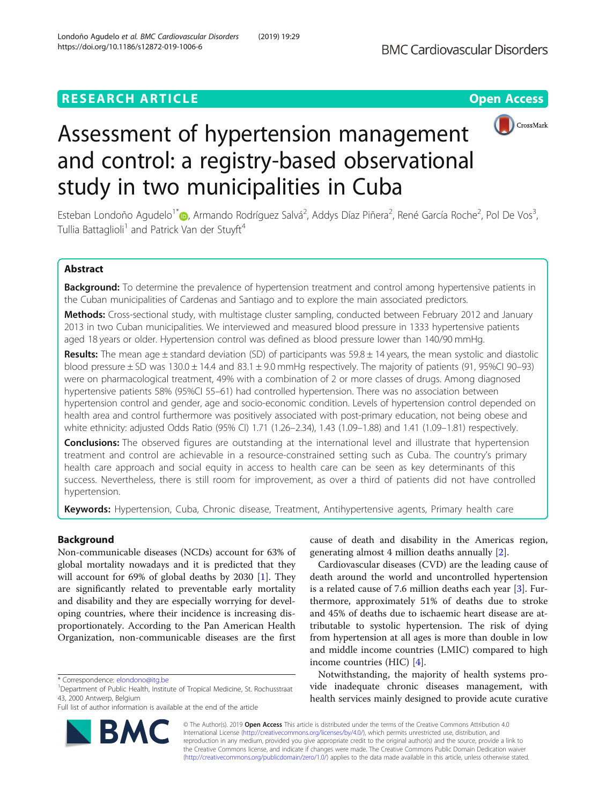## **RESEARCH ARTICLE Example 2014 12:30 The Contract of Contract ACCESS**



# Assessment of hypertension management and control: a registry-based observational study in two municipalities in Cuba

Esteban Londoño Agudelo<sup>1\*</sup>®[,](http://orcid.org/0000-0003-3254-3651) Armando Rodríguez Salvá<sup>2</sup>, Addys Díaz Piñera<sup>2</sup>, René García Roche<sup>2</sup>, Pol De Vos<sup>3</sup> , Tullia Battaglioli<sup>1</sup> and Patrick Van der Stuyft<sup>4</sup>

## Abstract

Background: To determine the prevalence of hypertension treatment and control among hypertensive patients in the Cuban municipalities of Cardenas and Santiago and to explore the main associated predictors.

Methods: Cross-sectional study, with multistage cluster sampling, conducted between February 2012 and January 2013 in two Cuban municipalities. We interviewed and measured blood pressure in 1333 hypertensive patients aged 18 years or older. Hypertension control was defined as blood pressure lower than 140/90 mmHg.

Results: The mean age  $\pm$  standard deviation (SD) of participants was 59.8  $\pm$  14 years, the mean systolic and diastolic blood pressure  $\pm$  SD was 130.0  $\pm$  14.4 and 83.1  $\pm$  9.0 mmHg respectively. The majority of patients (91, 95%CI 90–93) were on pharmacological treatment, 49% with a combination of 2 or more classes of drugs. Among diagnosed hypertensive patients 58% (95%CI 55–61) had controlled hypertension. There was no association between hypertension control and gender, age and socio-economic condition. Levels of hypertension control depended on health area and control furthermore was positively associated with post-primary education, not being obese and white ethnicity: adjusted Odds Ratio (95% CI) 1.71 (1.26–2.34), 1.43 (1.09–1.88) and 1.41 (1.09–1.81) respectively.

**Conclusions:** The observed figures are outstanding at the international level and illustrate that hypertension treatment and control are achievable in a resource-constrained setting such as Cuba. The country's primary health care approach and social equity in access to health care can be seen as key determinants of this success. Nevertheless, there is still room for improvement, as over a third of patients did not have controlled hypertension.

Keywords: Hypertension, Cuba, Chronic disease, Treatment, Antihypertensive agents, Primary health care

## Background

Non-communicable diseases (NCDs) account for 63% of global mortality nowadays and it is predicted that they will account for 69% of global deaths by 2030 [\[1\]](#page-7-0). They are significantly related to preventable early mortality and disability and they are especially worrying for developing countries, where their incidence is increasing disproportionately. According to the Pan American Health Organization, non-communicable diseases are the first

Full list of author information is available at the end of the article



cause of death and disability in the Americas region, generating almost 4 million deaths annually [\[2](#page-7-0)].

Cardiovascular diseases (CVD) are the leading cause of death around the world and uncontrolled hypertension is a related cause of 7.6 million deaths each year [[3\]](#page-8-0). Furthermore, approximately 51% of deaths due to stroke and 45% of deaths due to ischaemic heart disease are attributable to systolic hypertension. The risk of dying from hypertension at all ages is more than double in low and middle income countries (LMIC) compared to high income countries (HIC) [[4\]](#page-8-0).

Notwithstanding, the majority of health systems provide inadequate chronic diseases management, with health services mainly designed to provide acute curative

© The Author(s). 2019 Open Access This article is distributed under the terms of the Creative Commons Attribution 4.0 International License [\(http://creativecommons.org/licenses/by/4.0/](http://creativecommons.org/licenses/by/4.0/)), which permits unrestricted use, distribution, and reproduction in any medium, provided you give appropriate credit to the original author(s) and the source, provide a link to the Creative Commons license, and indicate if changes were made. The Creative Commons Public Domain Dedication waiver [\(http://creativecommons.org/publicdomain/zero/1.0/](http://creativecommons.org/publicdomain/zero/1.0/)) applies to the data made available in this article, unless otherwise stated.

<sup>\*</sup> Correspondence: [elondono@itg.be](mailto:elondono@itg.be) <sup>1</sup>

Department of Public Health, Institute of Tropical Medicine, St. Rochusstraat 43, 2000 Antwerp, Belgium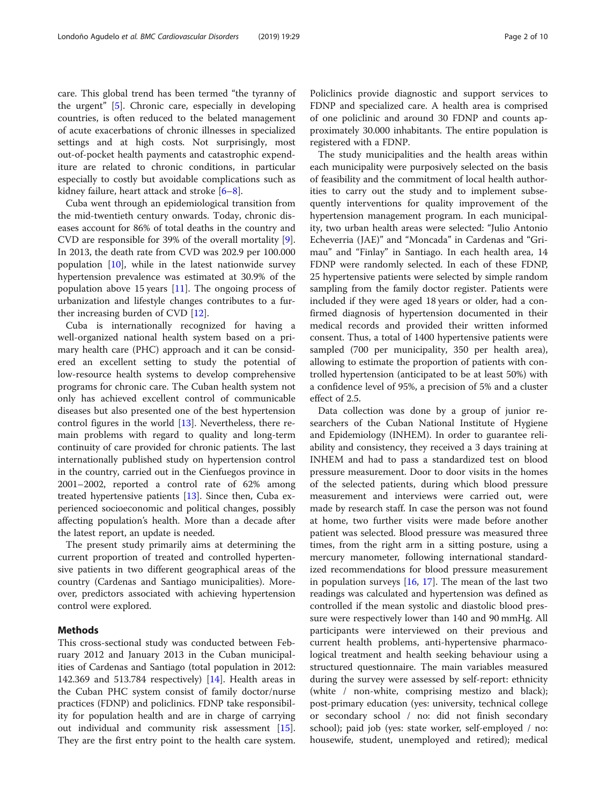care. This global trend has been termed "the tyranny of the urgent" [[5\]](#page-8-0). Chronic care, especially in developing countries, is often reduced to the belated management of acute exacerbations of chronic illnesses in specialized settings and at high costs. Not surprisingly, most out-of-pocket health payments and catastrophic expenditure are related to chronic conditions, in particular especially to costly but avoidable complications such as kidney failure, heart attack and stroke  $[6-8]$  $[6-8]$  $[6-8]$  $[6-8]$ .

Cuba went through an epidemiological transition from the mid-twentieth century onwards. Today, chronic diseases account for 86% of total deaths in the country and CVD are responsible for 39% of the overall mortality [\[9](#page-8-0)]. In 2013, the death rate from CVD was 202.9 per 100.000 population [\[10\]](#page-8-0), while in the latest nationwide survey hypertension prevalence was estimated at 30.9% of the population above 15 years  $[11]$  $[11]$ . The ongoing process of urbanization and lifestyle changes contributes to a further increasing burden of CVD [[12](#page-8-0)].

Cuba is internationally recognized for having a well-organized national health system based on a primary health care (PHC) approach and it can be considered an excellent setting to study the potential of low-resource health systems to develop comprehensive programs for chronic care. The Cuban health system not only has achieved excellent control of communicable diseases but also presented one of the best hypertension control figures in the world [\[13\]](#page-8-0). Nevertheless, there remain problems with regard to quality and long-term continuity of care provided for chronic patients. The last internationally published study on hypertension control in the country, carried out in the Cienfuegos province in 2001–2002, reported a control rate of 62% among treated hypertensive patients [\[13](#page-8-0)]. Since then, Cuba experienced socioeconomic and political changes, possibly affecting population's health. More than a decade after the latest report, an update is needed.

The present study primarily aims at determining the current proportion of treated and controlled hypertensive patients in two different geographical areas of the country (Cardenas and Santiago municipalities). Moreover, predictors associated with achieving hypertension control were explored.

### Methods

This cross-sectional study was conducted between February 2012 and January 2013 in the Cuban municipalities of Cardenas and Santiago (total population in 2012: 142.369 and 513.784 respectively) [\[14](#page-8-0)]. Health areas in the Cuban PHC system consist of family doctor/nurse practices (FDNP) and policlinics. FDNP take responsibility for population health and are in charge of carrying out individual and community risk assessment [\[15](#page-8-0)]. They are the first entry point to the health care system.

Policlinics provide diagnostic and support services to FDNP and specialized care. A health area is comprised of one policlinic and around 30 FDNP and counts approximately 30.000 inhabitants. The entire population is registered with a FDNP.

The study municipalities and the health areas within each municipality were purposively selected on the basis of feasibility and the commitment of local health authorities to carry out the study and to implement subsequently interventions for quality improvement of the hypertension management program. In each municipality, two urban health areas were selected: "Julio Antonio Echeverria (JAE)" and "Moncada" in Cardenas and "Grimau" and "Finlay" in Santiago. In each health area, 14 FDNP were randomly selected. In each of these FDNP, 25 hypertensive patients were selected by simple random sampling from the family doctor register. Patients were included if they were aged 18 years or older, had a confirmed diagnosis of hypertension documented in their medical records and provided their written informed consent. Thus, a total of 1400 hypertensive patients were sampled (700 per municipality, 350 per health area), allowing to estimate the proportion of patients with controlled hypertension (anticipated to be at least 50%) with a confidence level of 95%, a precision of 5% and a cluster effect of 2.5.

Data collection was done by a group of junior researchers of the Cuban National Institute of Hygiene and Epidemiology (INHEM). In order to guarantee reliability and consistency, they received a 3 days training at INHEM and had to pass a standardized test on blood pressure measurement. Door to door visits in the homes of the selected patients, during which blood pressure measurement and interviews were carried out, were made by research staff. In case the person was not found at home, two further visits were made before another patient was selected. Blood pressure was measured three times, from the right arm in a sitting posture, using a mercury manometer, following international standardized recommendations for blood pressure measurement in population surveys [[16,](#page-8-0) [17](#page-8-0)]. The mean of the last two readings was calculated and hypertension was defined as controlled if the mean systolic and diastolic blood pressure were respectively lower than 140 and 90 mmHg. All participants were interviewed on their previous and current health problems, anti-hypertensive pharmacological treatment and health seeking behaviour using a structured questionnaire. The main variables measured during the survey were assessed by self-report: ethnicity (white / non-white, comprising mestizo and black); post-primary education (yes: university, technical college or secondary school / no: did not finish secondary school); paid job (yes: state worker, self-employed / no: housewife, student, unemployed and retired); medical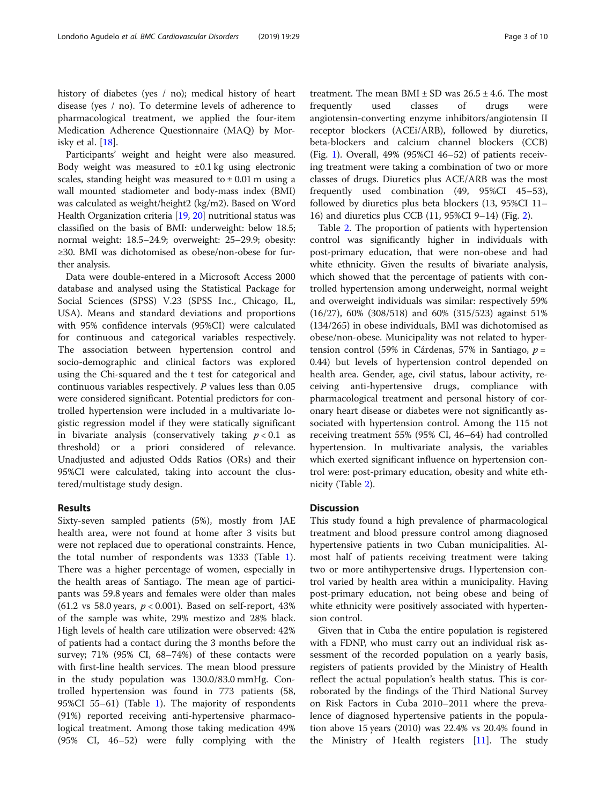history of diabetes (yes / no); medical history of heart disease (yes / no). To determine levels of adherence to pharmacological treatment, we applied the four-item Medication Adherence Questionnaire (MAQ) by Morisky et al. [[18\]](#page-8-0).

Participants' weight and height were also measured. Body weight was measured to  $\pm 0.1$  kg using electronic scales, standing height was measured to  $\pm$  0.01 m using a wall mounted stadiometer and body-mass index (BMI) was calculated as weight/height2 (kg/m2). Based on Word Health Organization criteria [\[19,](#page-8-0) [20](#page-8-0)] nutritional status was classified on the basis of BMI: underweight: below 18.5; normal weight: 18.5–24.9; overweight: 25–29.9; obesity: ≥30. BMI was dichotomised as obese/non-obese for further analysis.

Data were double-entered in a Microsoft Access 2000 database and analysed using the Statistical Package for Social Sciences (SPSS) V.23 (SPSS Inc., Chicago, IL, USA). Means and standard deviations and proportions with 95% confidence intervals (95%CI) were calculated for continuous and categorical variables respectively. The association between hypertension control and socio-demographic and clinical factors was explored using the Chi-squared and the t test for categorical and continuous variables respectively. P values less than 0.05 were considered significant. Potential predictors for controlled hypertension were included in a multivariate logistic regression model if they were statically significant in bivariate analysis (conservatively taking  $p < 0.1$  as threshold) or a priori considered of relevance. Unadjusted and adjusted Odds Ratios (ORs) and their 95%CI were calculated, taking into account the clustered/multistage study design.

#### Results

Sixty-seven sampled patients (5%), mostly from JAE health area, were not found at home after 3 visits but were not replaced due to operational constraints. Hence, the total number of respondents was 1333 (Table [1](#page-3-0)). There was a higher percentage of women, especially in the health areas of Santiago. The mean age of participants was 59.8 years and females were older than males (61.2 vs 58.0 years,  $p < 0.001$ ). Based on self-report, 43% of the sample was white, 29% mestizo and 28% black. High levels of health care utilization were observed: 42% of patients had a contact during the 3 months before the survey; 71% (95% CI, 68–74%) of these contacts were with first-line health services. The mean blood pressure in the study population was 130.0/83.0 mmHg. Controlled hypertension was found in 773 patients (58, 95%CI 55–61) (Table [1](#page-3-0)). The majority of respondents (91%) reported receiving anti-hypertensive pharmacological treatment. Among those taking medication 49% (95% CI, 46–52) were fully complying with the treatment. The mean  $BMI \pm SD$  was  $26.5 \pm 4.6$ . The most frequently used classes of drugs were angiotensin-converting enzyme inhibitors/angiotensin II receptor blockers (ACEi/ARB), followed by diuretics, beta-blockers and calcium channel blockers (CCB) (Fig. [1](#page-4-0)). Overall, 49% (95%CI 46–52) of patients receiving treatment were taking a combination of two or more classes of drugs. Diuretics plus ACE/ARB was the most frequently used combination (49, 95%CI 45–53), followed by diuretics plus beta blockers (13, 95%CI 11– 16) and diuretics plus CCB (11, 95%CI 9–14) (Fig. [2\)](#page-4-0).

Table [2](#page-5-0). The proportion of patients with hypertension control was significantly higher in individuals with post-primary education, that were non-obese and had white ethnicity. Given the results of bivariate analysis, which showed that the percentage of patients with controlled hypertension among underweight, normal weight and overweight individuals was similar: respectively 59% (16/27), 60% (308/518) and 60% (315/523) against 51% (134/265) in obese individuals, BMI was dichotomised as obese/non-obese. Municipality was not related to hypertension control (59% in Cárdenas, 57% in Santiago,  $p =$ 0.44) but levels of hypertension control depended on health area. Gender, age, civil status, labour activity, receiving anti-hypertensive drugs, compliance with pharmacological treatment and personal history of coronary heart disease or diabetes were not significantly associated with hypertension control. Among the 115 not receiving treatment 55% (95% CI, 46–64) had controlled hypertension. In multivariate analysis, the variables which exerted significant influence on hypertension control were: post-primary education, obesity and white ethnicity (Table [2](#page-5-0)).

#### **Discussion**

This study found a high prevalence of pharmacological treatment and blood pressure control among diagnosed hypertensive patients in two Cuban municipalities. Almost half of patients receiving treatment were taking two or more antihypertensive drugs. Hypertension control varied by health area within a municipality. Having post-primary education, not being obese and being of white ethnicity were positively associated with hypertension control.

Given that in Cuba the entire population is registered with a FDNP, who must carry out an individual risk assessment of the recorded population on a yearly basis, registers of patients provided by the Ministry of Health reflect the actual population's health status. This is corroborated by the findings of the Third National Survey on Risk Factors in Cuba 2010–2011 where the prevalence of diagnosed hypertensive patients in the population above 15 years (2010) was 22.4% vs 20.4% found in the Ministry of Health registers [\[11\]](#page-8-0). The study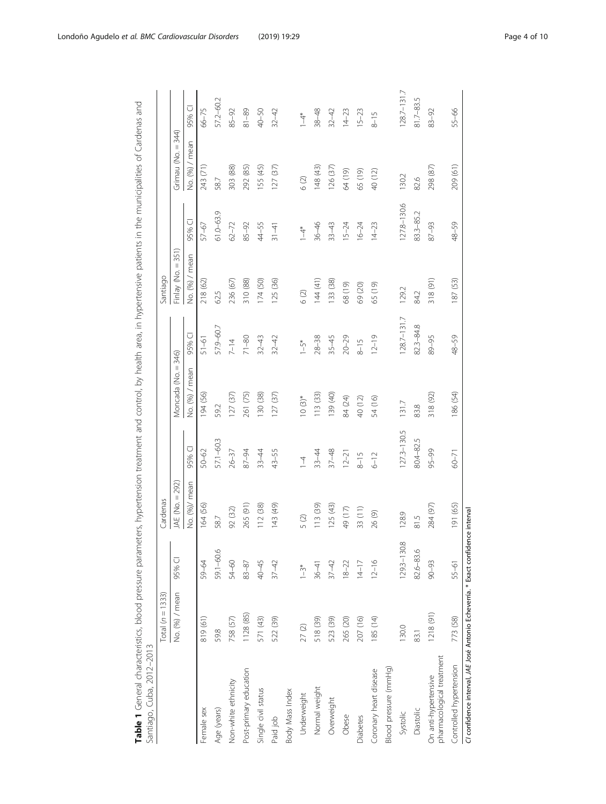| Santiago, Cuba, 2012-2013                                                        |                    |                 |                 |                 |                      |                 |                    |                   |                    |                 |
|----------------------------------------------------------------------------------|--------------------|-----------------|-----------------|-----------------|----------------------|-----------------|--------------------|-------------------|--------------------|-----------------|
|                                                                                  | Total $(n = 1333)$ |                 | Cardenas        |                 |                      |                 | Santiago           |                   |                    |                 |
|                                                                                  | No. (%) / mean     | 95% CI          | JAE (No. = 292) |                 | Vloncada (No. = 346) |                 | Finlay (No. = 351) |                   | Grimau (No. = 344) |                 |
|                                                                                  |                    |                 | No. (%)/ mean   | 95% CI          | No. (%) / mean       | 95% CI          | No. (%) / mean     | 95% CI            | No. (%) / mean     | 95% CI          |
| Female sex                                                                       | 819 (61)           | 59-64           | 164 (56)        | 50-62           | 194 (56)             | $51 - 61$       | 218 (62)           | $57 - 67$         | 243 (71)           | $66 - 75$       |
| Age (years)                                                                      | 59.8               | $59.1 - 60.6$   | 58.7            | 57.1-60.3       | 59.2                 | 57.9-60.7       | 62.5               | $61.0 - 63.9$     | 58.7               | 57.2-60.2       |
| Non-white ethnicity                                                              | 758 (57)           | 54-60           | 92 (32)         | $26 - 37$       | 127(37)              | $7 - 14$        | 236 (67)           | $62 - 72$         | 303 (88)           | 85-92           |
| Post-primary education                                                           | 1128 (85)          | $83 - 87$       | 265 (91)        | 87-94           | 261 (75)             | $71 - 80$       | 310 (88)           | 85-92             | 292 (85)           | $81 - 89$       |
| Single civil status                                                              | 571 (43)           | 40-45           | 112 (38)        | $33 - 44$       | 130 (38)             | $32 - 43$       | 174 (50)           | 44-55             | 155 (45)           | $40 - 50$       |
| Paid job                                                                         | 522 (39)           | $37 - 42$       | 143 (49)        | $43 - 55$       | 127(37)              | $32 - 42$       | 125 (36)           | $31 - 41$         | 127(37)            | $32 - 42$       |
| Body Mass Index                                                                  |                    |                 |                 |                 |                      |                 |                    |                   |                    |                 |
| Underweight                                                                      | 27(2)              | $1 - 3$         | 5 (2)           | $\overline{1}$  | $10(3)*$             | $1 - 5^*$       | 6(2)               | $\stackrel{*}{+}$ | 6(2)               | $1-4$           |
| Normal weight                                                                    | 518 (39)           | $36 - 41$       | 113 (39)        | $33 - 44$       | 113 (33)             | $28 - 38$       | 144 (41)           | $36 - 46$         | 148 (43)           | $38 - 48$       |
| Overweight                                                                       | 523 (39)           | $37 - 42$       | 125(43)         | $37 - 48$       | 139 (40)             | $35 - 45$       | 133 (38)           | $33 - 43$         | 126(37)            | $32 - 42$       |
| Obese                                                                            | 265 (20)           | $18 - 22$       | 49 (17)         | $12 - 21$       | 84 (24)              | $20 - 29$       | 68 (19)            | $15 - 24$         | 64 (19)            | $14 - 23$       |
| Diabetes                                                                         | 207 (16)           | $14 - 17$       | 33 (11)         | $8 - 15$        | 40 (12)              | $8 - 15$        | 69 (20)            | $16 - 24$         | 65 (19)            | $15 - 23$       |
| Coronary heart disease                                                           | 185 (14)           | $12 - 16$       | 26 (9)          | $6 - 12$        | 54 (16)              | $12 - 19$       | 65 (19)            | $14 - 23$         | 40 (12)            | $8 - 15$        |
| Blood pressure (mmHg)                                                            |                    |                 |                 |                 |                      |                 |                    |                   |                    |                 |
| Systolic                                                                         | 130.0              | $129.3 - 130.8$ | 128.9           | $127.3 - 130.5$ | 131.7                | $128.7 - 131.7$ | 129.2              | 127.8-130.6       | 130.2              | $128.7 - 131.7$ |
| Diastolic                                                                        | 83.1               | 82.6-83.6       | 81.5            | 80.4-82.5       | 83.8                 | $82.3 - 84.8$   | 84.2               | 83.3-85.2         | 82.6               | 81.7-83.5       |
| pharmacological treatment<br>On anti-hypertensive                                | 1218 (91)          | $90 - 93$       | 284 (97)        | $66 - 56$       | 318 (92)             | 89-95           | 318 (91)           | $87 - 93$         | 298 (87)           | 83-92           |
| Controlled hypertension                                                          | 773 (58)           | 55-61           | 191 (65)        | $60 - 71$       | 186 (54)             | 48-59           | 187 (53)           | 48-59             | 209 (61)           | 55-66           |
| CI confidence interval, JAE José Antonio Echeverría. * Exact confidence interval |                    |                 |                 |                 |                      |                 |                    |                   |                    |                 |

<span id="page-3-0"></span>Table 1 General characteristics, blood pressure parameters, hypertension treatment and control, by health area, in hypertensive patients in the municipalities of Cardenas and Table 1 General characteristics, blood pressure parameters, hypertension treatment and control, by health area, in hypertensive patients in the municipalities of Cardenas and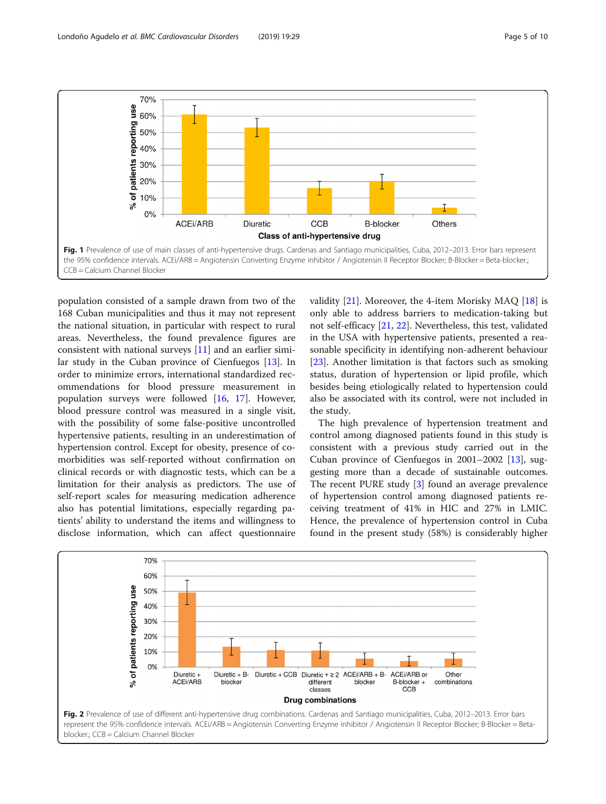<span id="page-4-0"></span>

population consisted of a sample drawn from two of the 168 Cuban municipalities and thus it may not represent the national situation, in particular with respect to rural areas. Nevertheless, the found prevalence figures are consistent with national surveys [\[11](#page-8-0)] and an earlier similar study in the Cuban province of Cienfuegos [\[13](#page-8-0)]. In order to minimize errors, international standardized recommendations for blood pressure measurement in population surveys were followed [[16,](#page-8-0) [17\]](#page-8-0). However, blood pressure control was measured in a single visit, with the possibility of some false-positive uncontrolled hypertensive patients, resulting in an underestimation of hypertension control. Except for obesity, presence of comorbidities was self-reported without confirmation on clinical records or with diagnostic tests, which can be a limitation for their analysis as predictors. The use of self-report scales for measuring medication adherence also has potential limitations, especially regarding patients' ability to understand the items and willingness to disclose information, which can affect questionnaire

validity  $[21]$  $[21]$ . Moreover, the 4-item Morisky MAQ  $[18]$  is only able to address barriers to medication-taking but not self-efficacy [[21,](#page-8-0) [22\]](#page-8-0). Nevertheless, this test, validated in the USA with hypertensive patients, presented a reasonable specificity in identifying non-adherent behaviour [[23\]](#page-8-0). Another limitation is that factors such as smoking status, duration of hypertension or lipid profile, which besides being etiologically related to hypertension could also be associated with its control, were not included in the study.

The high prevalence of hypertension treatment and control among diagnosed patients found in this study is consistent with a previous study carried out in the Cuban province of Cienfuegos in 2001–2002 [[13\]](#page-8-0), suggesting more than a decade of sustainable outcomes. The recent PURE study [\[3](#page-8-0)] found an average prevalence of hypertension control among diagnosed patients receiving treatment of 41% in HIC and 27% in LMIC. Hence, the prevalence of hypertension control in Cuba found in the present study (58%) is considerably higher

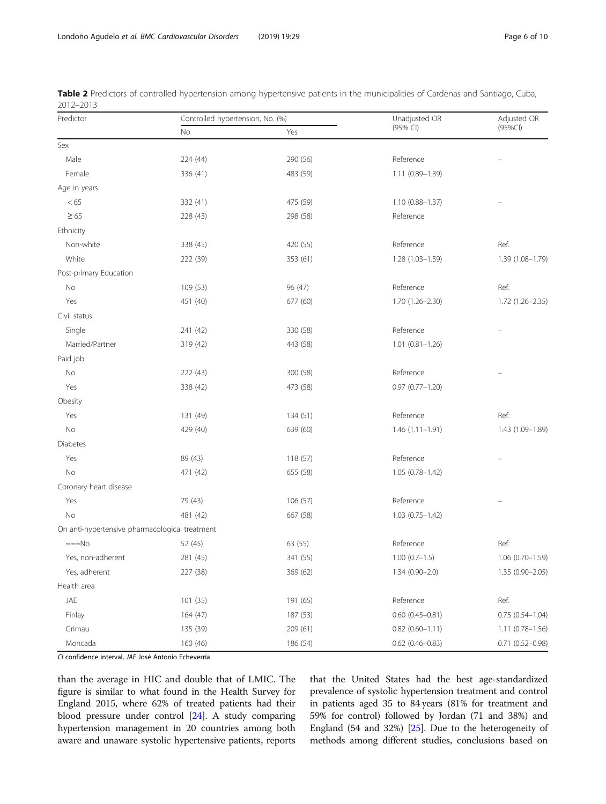| Predictor                                      | Controlled hypertension, No. (%) |          | Unadjusted OR          | Adjusted OR         |
|------------------------------------------------|----------------------------------|----------|------------------------|---------------------|
|                                                | No                               | Yes      | (95% CI)               | $(95\%CI)$          |
| Sex                                            |                                  |          |                        |                     |
| Male                                           | 224 (44)                         | 290 (56) | Reference              |                     |
| Female                                         | 336 (41)                         | 483 (59) | 1.11 (0.89-1.39)       |                     |
| Age in years                                   |                                  |          |                        |                     |
| < 65                                           | 332 (41)                         | 475 (59) | 1.10 (0.88-1.37)       |                     |
| $\geq 65$                                      | 228 (43)                         | 298 (58) | Reference              |                     |
| Ethnicity                                      |                                  |          |                        |                     |
| Non-white                                      | 338 (45)                         | 420 (55) | Reference              | Ref.                |
| White                                          | 222 (39)                         | 353 (61) | 1.28 (1.03-1.59)       | 1.39 (1.08-1.79)    |
| Post-primary Education                         |                                  |          |                        |                     |
| No                                             | 109 (53)                         | 96 (47)  | Reference              | Ref.                |
| Yes                                            | 451 (40)                         | 677 (60) | 1.70 (1.26-2.30)       | 1.72 (1.26-2.35)    |
| Civil status                                   |                                  |          |                        |                     |
| Single                                         | 241 (42)                         | 330 (58) | Reference              |                     |
| Married/Partner                                | 319 (42)                         | 443 (58) | $1.01 (0.81 - 1.26)$   |                     |
| Paid job                                       |                                  |          |                        |                     |
| No                                             | 222 (43)                         | 300 (58) | Reference              |                     |
| Yes                                            | 338 (42)                         | 473 (58) | $0.97$ $(0.77 - 1.20)$ |                     |
| Obesity                                        |                                  |          |                        |                     |
| Yes                                            | 131 (49)                         | 134 (51) | Reference              | Ref.                |
| No                                             | 429 (40)                         | 639 (60) | $1.46(1.11-1.91)$      | 1.43 (1.09-1.89)    |
| <b>Diabetes</b>                                |                                  |          |                        |                     |
| Yes                                            | 89 (43)                          | 118 (57) | Reference              |                     |
| No                                             | 471 (42)                         | 655 (58) | 1.05 (0.78-1.42)       |                     |
| Coronary heart disease                         |                                  |          |                        |                     |
| Yes                                            | 79 (43)                          | 106 (57) | Reference              |                     |
| No                                             | 481 (42)                         | 667 (58) | $1.03(0.75 - 1.42)$    |                     |
| On anti-hypertensive pharmacological treatment |                                  |          |                        |                     |
| $==NO$                                         | 52 (45)                          | 63 (55)  | Reference              | Ref.                |
| Yes, non-adherent                              | 281 (45)                         | 341 (55) | $1.00(0.7-1.5)$        | 1.06 (0.70-1.59)    |
| Yes, adherent                                  | 227 (38)                         | 369 (62) | $1.34(0.90 - 2.0)$     | 1.35 (0.90-2.05)    |
| Health area                                    |                                  |          |                        |                     |
| JAE                                            | 101 (35)                         | 191 (65) | Reference              | Ref.                |
| Finlay                                         | 164(47)                          | 187 (53) | $0.60(0.45 - 0.81)$    | $0.75(0.54 - 1.04)$ |
| Grimau                                         | 135 (39)                         | 209 (61) | $0.82$ $(0.60 - 1.11)$ | 1.11 (0.78-1.56)    |
| Moncada                                        | 160 (46)                         | 186 (54) | $0.62$ (0.46-0.83)     | $0.71(0.52 - 0.98)$ |

<span id="page-5-0"></span>Table 2 Predictors of controlled hypertension among hypertensive patients in the municipalities of Cardenas and Santiago, Cuba, 2012–2013

CI confidence interval, JAE José Antonio Echeverría

than the average in HIC and double that of LMIC. The figure is similar to what found in the Health Survey for England 2015, where 62% of treated patients had their blood pressure under control [\[24\]](#page-8-0). A study comparing hypertension management in 20 countries among both aware and unaware systolic hypertensive patients, reports

that the United States had the best age-standardized prevalence of systolic hypertension treatment and control in patients aged 35 to 84 years (81% for treatment and 59% for control) followed by Jordan (71 and 38%) and England (54 and 32%) [\[25\]](#page-8-0). Due to the heterogeneity of methods among different studies, conclusions based on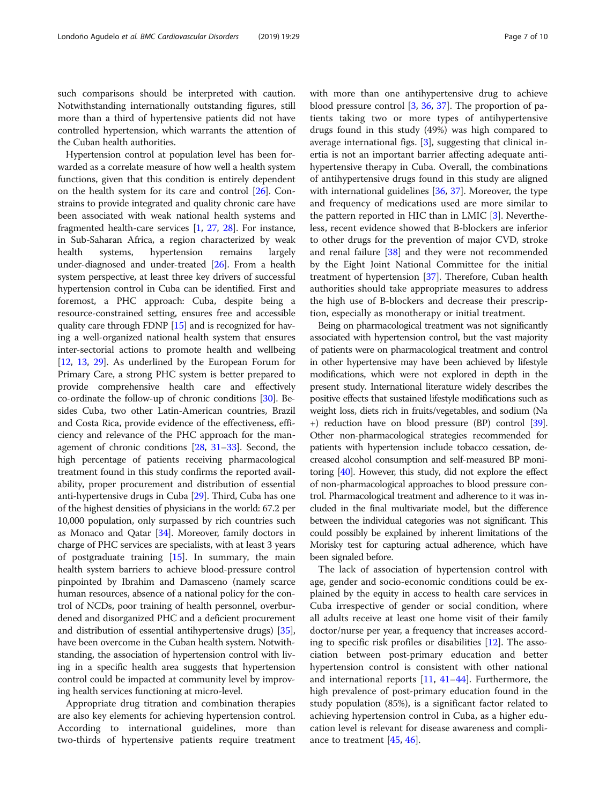such comparisons should be interpreted with caution. Notwithstanding internationally outstanding figures, still more than a third of hypertensive patients did not have controlled hypertension, which warrants the attention of the Cuban health authorities.

Hypertension control at population level has been forwarded as a correlate measure of how well a health system functions, given that this condition is entirely dependent on the health system for its care and control [\[26\]](#page-8-0). Constrains to provide integrated and quality chronic care have been associated with weak national health systems and fragmented health-care services [[1,](#page-7-0) [27](#page-8-0), [28\]](#page-8-0). For instance, in Sub-Saharan Africa, a region characterized by weak health systems, hypertension remains largely under-diagnosed and under-treated [[26](#page-8-0)]. From a health system perspective, at least three key drivers of successful hypertension control in Cuba can be identified. First and foremost, a PHC approach: Cuba, despite being a resource-constrained setting, ensures free and accessible quality care through FDNP [\[15\]](#page-8-0) and is recognized for having a well-organized national health system that ensures inter-sectorial actions to promote health and wellbeing [[12](#page-8-0), [13,](#page-8-0) [29\]](#page-8-0). As underlined by the European Forum for Primary Care, a strong PHC system is better prepared to provide comprehensive health care and effectively co-ordinate the follow-up of chronic conditions [[30](#page-8-0)]. Besides Cuba, two other Latin-American countries, Brazil and Costa Rica, provide evidence of the effectiveness, efficiency and relevance of the PHC approach for the management of chronic conditions [\[28](#page-8-0), [31](#page-8-0)–[33\]](#page-8-0). Second, the high percentage of patients receiving pharmacological treatment found in this study confirms the reported availability, proper procurement and distribution of essential anti-hypertensive drugs in Cuba [[29](#page-8-0)]. Third, Cuba has one of the highest densities of physicians in the world: 67.2 per 10,000 population, only surpassed by rich countries such as Monaco and Qatar [[34](#page-8-0)]. Moreover, family doctors in charge of PHC services are specialists, with at least 3 years of postgraduate training [\[15\]](#page-8-0). In summary, the main health system barriers to achieve blood-pressure control pinpointed by Ibrahim and Damasceno (namely scarce human resources, absence of a national policy for the control of NCDs, poor training of health personnel, overburdened and disorganized PHC and a deficient procurement and distribution of essential antihypertensive drugs) [[35](#page-8-0)], have been overcome in the Cuban health system. Notwithstanding, the association of hypertension control with living in a specific health area suggests that hypertension control could be impacted at community level by improving health services functioning at micro-level.

Appropriate drug titration and combination therapies are also key elements for achieving hypertension control. According to international guidelines, more than two-thirds of hypertensive patients require treatment with more than one antihypertensive drug to achieve blood pressure control [\[3,](#page-8-0) [36](#page-8-0), [37](#page-8-0)]. The proportion of patients taking two or more types of antihypertensive drugs found in this study (49%) was high compared to average international figs. [\[3](#page-8-0)], suggesting that clinical inertia is not an important barrier affecting adequate antihypertensive therapy in Cuba. Overall, the combinations of antihypertensive drugs found in this study are aligned with international guidelines [[36,](#page-8-0) [37\]](#page-8-0). Moreover, the type and frequency of medications used are more similar to the pattern reported in HIC than in LMIC [\[3](#page-8-0)]. Nevertheless, recent evidence showed that B-blockers are inferior to other drugs for the prevention of major CVD, stroke and renal failure [\[38](#page-8-0)] and they were not recommended by the Eight Joint National Committee for the initial treatment of hypertension [[37\]](#page-8-0). Therefore, Cuban health authorities should take appropriate measures to address the high use of B-blockers and decrease their prescription, especially as monotherapy or initial treatment.

Being on pharmacological treatment was not significantly associated with hypertension control, but the vast majority of patients were on pharmacological treatment and control in other hypertensive may have been achieved by lifestyle modifications, which were not explored in depth in the present study. International literature widely describes the positive effects that sustained lifestyle modifications such as weight loss, diets rich in fruits/vegetables, and sodium (Na +) reduction have on blood pressure (BP) control [\[39](#page-8-0)]. Other non-pharmacological strategies recommended for patients with hypertension include tobacco cessation, decreased alcohol consumption and self-measured BP monitoring [[40](#page-8-0)]. However, this study, did not explore the effect of non-pharmacological approaches to blood pressure control. Pharmacological treatment and adherence to it was included in the final multivariate model, but the difference between the individual categories was not significant. This could possibly be explained by inherent limitations of the Morisky test for capturing actual adherence, which have been signaled before.

The lack of association of hypertension control with age, gender and socio-economic conditions could be explained by the equity in access to health care services in Cuba irrespective of gender or social condition, where all adults receive at least one home visit of their family doctor/nurse per year, a frequency that increases according to specific risk profiles or disabilities [[12](#page-8-0)]. The association between post-primary education and better hypertension control is consistent with other national and international reports [\[11](#page-8-0), [41](#page-8-0)–[44](#page-8-0)]. Furthermore, the high prevalence of post-primary education found in the study population (85%), is a significant factor related to achieving hypertension control in Cuba, as a higher education level is relevant for disease awareness and compliance to treatment [[45](#page-8-0), [46](#page-8-0)].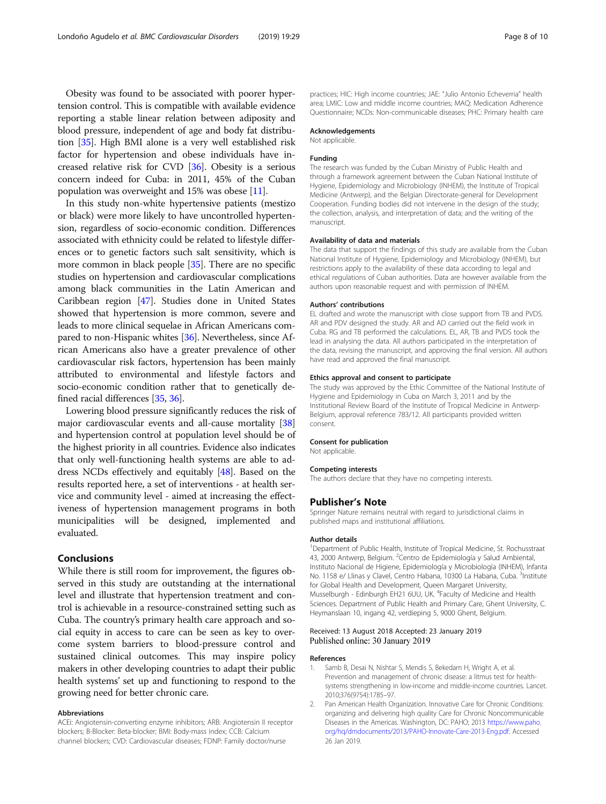<span id="page-7-0"></span>Obesity was found to be associated with poorer hypertension control. This is compatible with available evidence reporting a stable linear relation between adiposity and blood pressure, independent of age and body fat distribution [[35](#page-8-0)]. High BMI alone is a very well established risk factor for hypertension and obese individuals have increased relative risk for CVD [\[36\]](#page-8-0). Obesity is a serious concern indeed for Cuba: in 2011, 45% of the Cuban population was overweight and 15% was obese [\[11](#page-8-0)].

In this study non-white hypertensive patients (mestizo or black) were more likely to have uncontrolled hypertension, regardless of socio-economic condition. Differences associated with ethnicity could be related to lifestyle differences or to genetic factors such salt sensitivity, which is more common in black people [\[35](#page-8-0)]. There are no specific studies on hypertension and cardiovascular complications among black communities in the Latin American and Caribbean region [\[47\]](#page-9-0). Studies done in United States showed that hypertension is more common, severe and leads to more clinical sequelae in African Americans compared to non-Hispanic whites [\[36\]](#page-8-0). Nevertheless, since African Americans also have a greater prevalence of other cardiovascular risk factors, hypertension has been mainly attributed to environmental and lifestyle factors and socio-economic condition rather that to genetically defined racial differences [\[35,](#page-8-0) [36](#page-8-0)].

Lowering blood pressure significantly reduces the risk of major cardiovascular events and all-cause mortality [[38](#page-8-0)] and hypertension control at population level should be of the highest priority in all countries. Evidence also indicates that only well-functioning health systems are able to address NCDs effectively and equitably [[48](#page-9-0)]. Based on the results reported here, a set of interventions - at health service and community level - aimed at increasing the effectiveness of hypertension management programs in both municipalities will be designed, implemented and evaluated.

## Conclusions

While there is still room for improvement, the figures observed in this study are outstanding at the international level and illustrate that hypertension treatment and control is achievable in a resource-constrained setting such as Cuba. The country's primary health care approach and social equity in access to care can be seen as key to overcome system barriers to blood-pressure control and sustained clinical outcomes. This may inspire policy makers in other developing countries to adapt their public health systems' set up and functioning to respond to the growing need for better chronic care.

#### Abbreviations

ACEi: Angiotensin-converting enzyme inhibitors; ARB: Angiotensin II receptor blockers; B-Blocker: Beta-blocker; BMI: Body-mass index; CCB: Calcium channel blockers; CVD: Cardiovascular diseases; FDNP: Family doctor/nurse

practices; HIC: High income countries; JAE: "Julio Antonio Echeverria" health area; LMIC: Low and middle income countries; MAQ: Medication Adherence Questionnaire; NCDs: Non-communicable diseases; PHC: Primary health care

#### Acknowledgements

Not applicable.

#### Funding

The research was funded by the Cuban Ministry of Public Health and through a framework agreement between the Cuban National Institute of Hygiene, Epidemiology and Microbiology (INHEM), the Institute of Tropical Medicine (Antwerp), and the Belgian Directorate-general for Development Cooperation. Funding bodies did not intervene in the design of the study; the collection, analysis, and interpretation of data; and the writing of the manuscript.

#### Availability of data and materials

The data that support the findings of this study are available from the Cuban National Institute of Hygiene, Epidemiology and Microbiology (INHEM), but restrictions apply to the availability of these data according to legal and ethical regulations of Cuban authorities. Data are however available from the authors upon reasonable request and with permission of INHEM.

#### Authors' contributions

EL drafted and wrote the manuscript with close support from TB and PVDS. AR and PDV designed the study. AR and AD carried out the field work in Cuba. RG and TB performed the calculations. EL, AR, TB and PVDS took the lead in analysing the data. All authors participated in the interpretation of the data, revising the manuscript, and approving the final version. All authors have read and approved the final manuscript.

#### Ethics approval and consent to participate

The study was approved by the Ethic Committee of the National Institute of Hygiene and Epidemiology in Cuba on March 3, 2011 and by the Institutional Review Board of the Institute of Tropical Medicine in Antwerp-Belgium, approval reference 783/12. All participants provided written consent.

#### Consent for publication

Not applicable.

#### Competing interests

The authors declare that they have no competing interests.

#### Publisher's Note

Springer Nature remains neutral with regard to jurisdictional claims in published maps and institutional affiliations.

#### Author details

<sup>1</sup>Department of Public Health, Institute of Tropical Medicine, St. Rochusstraat 43, 2000 Antwerp, Belgium. <sup>2</sup>Centro de Epidemiología y Salud Ambiental Instituto Nacional de Higiene, Epidemiología y Microbiología (INHEM), Infanta No. 1158 e/ Llinas y Clavel, Centro Habana, 10300 La Habana, Cuba. <sup>3</sup>Institute for Global Health and Development, Queen Margaret University, Musselburgh - Edinburgh EH21 6UU, UK. <sup>4</sup> Faculty of Medicine and Health Sciences. Department of Public Health and Primary Care, Ghent University, C. Heymanslaan 10, ingang 42, verdieping 5, 9000 Ghent, Belgium.

#### Received: 13 August 2018 Accepted: 23 January 2019 Published online: 30 January 2019

#### References

- 1. Samb B, Desai N, Nishtar S, Mendis S, Bekedam H, Wright A, et al. Prevention and management of chronic disease: a litmus test for healthsystems strengthening in low-income and middle-income countries. Lancet. 2010;376(9754):1785–97.
- 2. Pan American Health Organization. Innovative Care for Chronic Conditions: organizing and delivering high quality Care for Chronic Noncommunicable Diseases in the Americas. Washington, DC: PAHO; 2013 [https://www.paho.](https://www.paho.org/hq/dmdocuments/2013/PAHO-Innovate-Care-2013-Eng.pdf) [org/hq/dmdocuments/2013/PAHO-Innovate-Care-2013-Eng.pdf](https://www.paho.org/hq/dmdocuments/2013/PAHO-Innovate-Care-2013-Eng.pdf). Accessed 26 Jan 2019.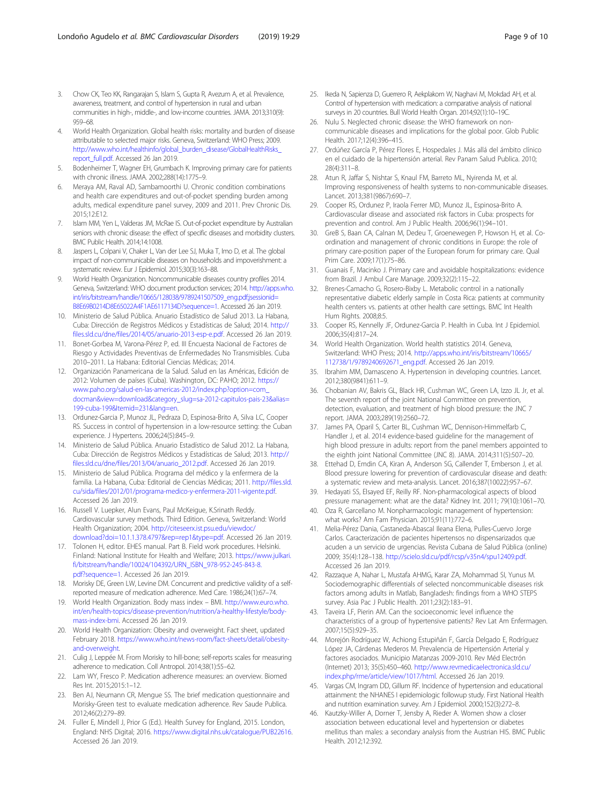- <span id="page-8-0"></span>3. Chow CK, Teo KK, Rangarajan S, Islam S, Gupta R, Avezum A, et al. Prevalence, awareness, treatment, and control of hypertension in rural and urban communities in high-, middle-, and low-income countries. JAMA. 2013;310(9): 959–68.
- 4. World Health Organization. Global health risks: mortality and burden of disease attributable to selected major risks. Geneva, Switzerland: WHO Press; 2009. [http://www.who.int/healthinfo/global\\_burden\\_disease/GlobalHealthRisks\\_](http://www.who.int/healthinfo/global_burden_disease/GlobalHealthRisks_report_full.pdf) [report\\_full.pdf.](http://www.who.int/healthinfo/global_burden_disease/GlobalHealthRisks_report_full.pdf) Accessed 26 Jan 2019.
- 5. Bodenheimer T, Wagner EH, Grumbach K. Improving primary care for patients with chronic illness. JAMA. 2002;288(14):1775–9.
- 6. Meraya AM, Raval AD, Sambamoorthi U. Chronic condition combinations and health care expenditures and out-of-pocket spending burden among adults, medical expenditure panel survey, 2009 and 2011. Prev Chronic Dis. 2015;12:E12.
- 7. Islam MM, Yen L, Valderas JM, McRae IS. Out-of-pocket expenditure by Australian seniors with chronic disease: the effect of specific diseases and morbidity clusters. BMC Public Health. 2014;14:1008.
- Jaspers L, Colpani V, Chaker L, Van der Lee SJ, Muka T, Imo D, et al. The global impact of non-communicable diseases on households and impoverishment: a systematic review. Eur J Epidemiol. 2015;30(3):163–88.
- 9. World Health Organization. Noncommunicable diseases country profiles 2014. Geneva, Switzerland: WHO document production services; 2014. [http://apps.who.](http://apps.who.int/iris/bitstream/handle/10665/128038/9789241507509_eng.pdf;jsessionid=B8E69B0214D8E65022A4F1AE6117134D?sequence=1) [int/iris/bitstream/handle/10665/128038/9789241507509\\_eng.pdf;jsessionid=](http://apps.who.int/iris/bitstream/handle/10665/128038/9789241507509_eng.pdf;jsessionid=B8E69B0214D8E65022A4F1AE6117134D?sequence=1) [B8E69B0214D8E65022A4F1AE6117134D?sequence=1.](http://apps.who.int/iris/bitstream/handle/10665/128038/9789241507509_eng.pdf;jsessionid=B8E69B0214D8E65022A4F1AE6117134D?sequence=1) Accessed 26 Jan 2019.
- 10. Ministerio de Salud Pública. Anuario Estadístico de Salud 2013. La Habana, Cuba: Dirección de Registros Médicos y Estadísticas de Salud; 2014. [http://](http://files.sld.cu/dne/files/2014/05/anuario-2013-esp-e.pdf) [files.sld.cu/dne/files/2014/05/anuario-2013-esp-e.pdf](http://files.sld.cu/dne/files/2014/05/anuario-2013-esp-e.pdf). Accessed 26 Jan 2019.
- 11. Bonet-Gorbea M, Varona-Pérez P, ed. III Encuesta Nacional de Factores de Riesgo y Actividades Preventivas de Enfermedades No Transmisibles. Cuba 2010–2011. La Habana: Editorial Ciencias Médicas; 2014.
- 12. Organización Panamericana de la Salud. Salud en las Américas, Edición de 2012: Volumen de países (Cuba). Washington, DC: PAHO; 2012. [https://](https://www.paho.org/salud-en-las-americas-2012/index.php?option=com_docman&view=download&category_slug=sa-2012-capitulos-pais-23&alias=199-cuba-199&Itemid=231&lang=en) [www.paho.org/salud-en-las-americas-2012/index.php?option=com\\_](https://www.paho.org/salud-en-las-americas-2012/index.php?option=com_docman&view=download&category_slug=sa-2012-capitulos-pais-23&alias=199-cuba-199&Itemid=231&lang=en) [docman&view=download&category\\_slug=sa-2012-capitulos-pais-23&alias=](https://www.paho.org/salud-en-las-americas-2012/index.php?option=com_docman&view=download&category_slug=sa-2012-capitulos-pais-23&alias=199-cuba-199&Itemid=231&lang=en) [199-cuba-199&Itemid=231&lang=en](https://www.paho.org/salud-en-las-americas-2012/index.php?option=com_docman&view=download&category_slug=sa-2012-capitulos-pais-23&alias=199-cuba-199&Itemid=231&lang=en).
- 13. Ordunez-Garcia P, Munoz JL, Pedraza D, Espinosa-Brito A, Silva LC, Cooper RS. Success in control of hypertension in a low-resource setting: the Cuban experience. J Hypertens. 2006;24(5):845–9.
- 14. Ministerio de Salud Pública. Anuario Estadístico de Salud 2012. La Habana, Cuba: Dirección de Registros Médicos y Estadísticas de Salud; 2013. [http://](http://files.sld.cu/dne/files/2013/04/anuario_2012.pdf) [files.sld.cu/dne/files/2013/04/anuario\\_2012.pdf](http://files.sld.cu/dne/files/2013/04/anuario_2012.pdf). Accessed 26 Jan 2019.
- 15. Ministerio de Salud Pública. Programa del médico y la enfermera de la familia. La Habana, Cuba: Editorial de Ciencias Médicas; 2011. [http://files.sld.](http://files.sld.cu/sida/files/2012/01/programa-medico-y-enfermera-2011-vigente.pdf) [cu/sida/files/2012/01/programa-medico-y-enfermera-2011-vigente.pdf.](http://files.sld.cu/sida/files/2012/01/programa-medico-y-enfermera-2011-vigente.pdf) Accessed 26 Jan 2019.
- 16. Russell V. Luepker, Alun Evans, Paul McKeigue, K.Srinath Reddy. Cardiovascular survey methods. Third Edition. Geneva, Switzerland: World Health Organization; 2004. [http://citeseerx.ist.psu.edu/viewdoc/](http://citeseerx.ist.psu.edu/viewdoc/download?doi=10.1.1.378.4797&rep=rep1&type=pdf) [download?doi=10.1.1.378.4797&rep=rep1&type=pdf](http://citeseerx.ist.psu.edu/viewdoc/download?doi=10.1.1.378.4797&rep=rep1&type=pdf). Accessed 26 Jan 2019.
- 17. Tolonen H, editor. EHES manual. Part B. Field work procedures. Helsinki. Finland: National Institute for Health and Welfare; 2013. [https://www.julkari.](https://www.julkari.fi/bitstream/handle/10024/104392/URN_ISBN_978-952-245-843-8.pdf?sequence=1) [fi/bitstream/handle/10024/104392/URN\\_ISBN\\_978-952-245-843-8.](https://www.julkari.fi/bitstream/handle/10024/104392/URN_ISBN_978-952-245-843-8.pdf?sequence=1) [pdf?sequence=1.](https://www.julkari.fi/bitstream/handle/10024/104392/URN_ISBN_978-952-245-843-8.pdf?sequence=1) Accessed 26 Jan 2019.
- 18. Morisky DE, Green LW, Levine DM. Concurrent and predictive validity of a selfreported measure of medication adherence. Med Care. 1986;24(1):67–74.
- 19. World Health Organization. Body mass index BMI. [http://www.euro.who.](http://www.euro.who.int/en/health-topics/disease-prevention/nutrition/a-healthy-lifestyle/body-mass-index-bmi) [int/en/health-topics/disease-prevention/nutrition/a-healthy-lifestyle/body](http://www.euro.who.int/en/health-topics/disease-prevention/nutrition/a-healthy-lifestyle/body-mass-index-bmi)[mass-index-bmi.](http://www.euro.who.int/en/health-topics/disease-prevention/nutrition/a-healthy-lifestyle/body-mass-index-bmi) Accessed 26 Jan 2019.
- 20. World Health Organization: Obesity and overweight. Fact sheet, updated February 2018. [https://www.who.int/news-room/fact-sheets/detail/obesity](https://www.who.int/news-room/fact-sheets/detail/obesity-and-overweight)[and-overweight.](https://www.who.int/news-room/fact-sheets/detail/obesity-and-overweight)
- 21. Culig J, Leppée M. From Morisky to hill-bone; self-reports scales for measuring adherence to medication. Coll Antropol. 2014;38(1):55–62.
- 22. Lam WY, Fresco P. Medication adherence measures: an overview. Biomed Res Int. 2015;2015:1–12.
- 23. Ben AJ, Neumann CR, Mengue SS. The brief medication questionnaire and Morisky-Green test to evaluate medication adherence. Rev Saude Publica. 2012;46(2):279–89.
- 24. Fuller E, Mindell J, Prior G (Ed.). Health Survey for England, 2015. London, England: NHS Digital; 2016. <https://www.digital.nhs.uk/catalogue/PUB22616>. Accessed 26 Jan 2019.
- 25. Ikeda N, Sapienza D, Guerrero R, Aekplakorn W, Naghavi M, Mokdad AH, et al. Control of hypertension with medication: a comparative analysis of national surveys in 20 countries. Bull World Health Organ. 2014;92(1):10–19C.
- 26. Nulu S. Neglected chronic disease: the WHO framework on noncommunicable diseases and implications for the global poor. Glob Public Health. 2017;12(4):396–415.
- 27. Ordúñez García P, Pérez Flores E, Hospedales J. Más allá del ámbito clínico en el cuidado de la hipertensión arterial. Rev Panam Salud Publica. 2010; 28(4):311–8.
- 28. Atun R, Jaffar S, Nishtar S, Knaul FM, Barreto ML, Nyirenda M, et al. Improving responsiveness of health systems to non-communicable diseases. Lancet. 2013;381(9867):690–7.
- 29. Cooper RS, Ordunez P, Iraola Ferrer MD, Munoz JL, Espinosa-Brito A. Cardiovascular disease and associated risk factors in Cuba: prospects for prevention and control. Am J Public Health. 2006;96(1):94–101.
- 30. GreB S, Baan CA, Calnan M, Dedeu T, Groenewegen P, Howson H, et al. Coordination and management of chronic conditions in Europe: the role of primary care-position paper of the European forum for primary care. Qual Prim Care. 2009;17(1):75–86.
- 31. Guanais F, Macinko J. Primary care and avoidable hospitalizations: evidence from Brazil. J Ambul Care Manage. 2009;32(2):115–22.
- 32. Brenes-Camacho G, Rosero-Bixby L. Metabolic control in a nationally representative diabetic elderly sample in Costa Rica: patients at community health centers vs. patients at other health care settings. BMC Int Health Hum Rights. 2008;8:5.
- 33. Cooper RS, Kennelly JF, Ordunez-Garcia P. Health in Cuba. Int J Epidemiol. 2006;35(4):817–24.
- 34. World Health Organization. World health statistics 2014. Geneva, Switzerland: WHO Press; 2014. [http://apps.who.int/iris/bitstream/10665/](http://apps.who.int/iris/bitstream/10665/112738/1/9789240692671_eng.pdf) [112738/1/9789240692671\\_eng.pdf](http://apps.who.int/iris/bitstream/10665/112738/1/9789240692671_eng.pdf). Accessed 26 Jan 2019.
- 35. Ibrahim MM, Damasceno A. Hypertension in developing countries. Lancet. 2012;380(9841):611–9.
- 36. Chobanian AV, Bakris GL, Black HR, Cushman WC, Green LA, Izzo JL Jr, et al. The seventh report of the joint National Committee on prevention, detection, evaluation, and treatment of high blood pressure: the JNC 7 report. JAMA. 2003;289(19):2560–72.
- 37. James PA, Oparil S, Carter BL, Cushman WC, Dennison-Himmelfarb C, Handler J, et al. 2014 evidence-based guideline for the management of high blood pressure in adults: report from the panel members appointed to the eighth joint National Committee (JNC 8). JAMA. 2014;311(5):507–20.
- 38. Ettehad D, Emdin CA, Kiran A, Anderson SG, Callender T, Emberson J, et al. Blood pressure lowering for prevention of cardiovascular disease and death: a systematic review and meta-analysis. Lancet. 2016;387(10022):957–67.
- 39. Hedayati SS, Elsayed EF, Reilly RF. Non-pharmacological aspects of blood pressure management: what are the data? Kidney Int. 2011; 79(10):1061–70.
- 40. Oza R, Garcellano M. Nonpharmacologic management of hypertension: what works? Am Fam Physician. 2015;91(11):772–6.
- 41. Melia-Pérez Dania, Castaneda-Abascal Ileana Elena, Pulles-Cuervo Jorge Carlos. Caracterización de pacientes hipertensos no dispensarizados que acuden a un servicio de urgencias. Revista Cubana de Salud Pública (online) 2009; 35(4):128–138. <http://scielo.sld.cu/pdf/rcsp/v35n4/spu12409.pdf>. Accessed 26 Jan 2019.
- 42. Razzaque A, Nahar L, Mustafa AHMG, Karar ZA, Mohammad SI, Yunus M. Sociodemographic differentials of selected noncommunicable diseases risk factors among adults in Matlab, Bangladesh: findings from a WHO STEPS survey. Asia Pac J Public Health. 2011;23(2):183–91.
- 43. Taveira LF, Pierin AM. Can the socioeconomic level influence the characteristics of a group of hypertensive patients? Rev Lat Am Enfermagen. 2007;15(5):929–35.
- 44. Morejón Rodríguez W, Achiong Estupiñán F, García Delgado E, Rodríguez López JA, Cárdenas Mederos M. Prevalencia de Hipertensión Arterial y factores asociados. Municipio Matanzas 2009-2010. Rev Méd Electrón (Internet) 2013; 35(5):450–460. [http://www.revmedicaelectronica.sld.cu/](http://www.revmedicaelectronica.sld.cu/index.php/rme/article/view/1017/html) [index.php/rme/article/view/1017/html](http://www.revmedicaelectronica.sld.cu/index.php/rme/article/view/1017/html). Accessed 26 Jan 2019.
- 45. Vargas CM, Ingram DD, Gillum RF. Incidence of hypertension and educational attainment: the NHANES I epidemiologic followup study. First National Health and nutrition examination survey. Am J Epidemiol. 2000;152(3):272–8.
- 46. Kautzky-Willer A, Dorner T, Jensby A, Rieder A. Women show a closer association between educational level and hypertension or diabetes mellitus than males: a secondary analysis from the Austrian HIS. BMC Public Health. 2012;12:392.